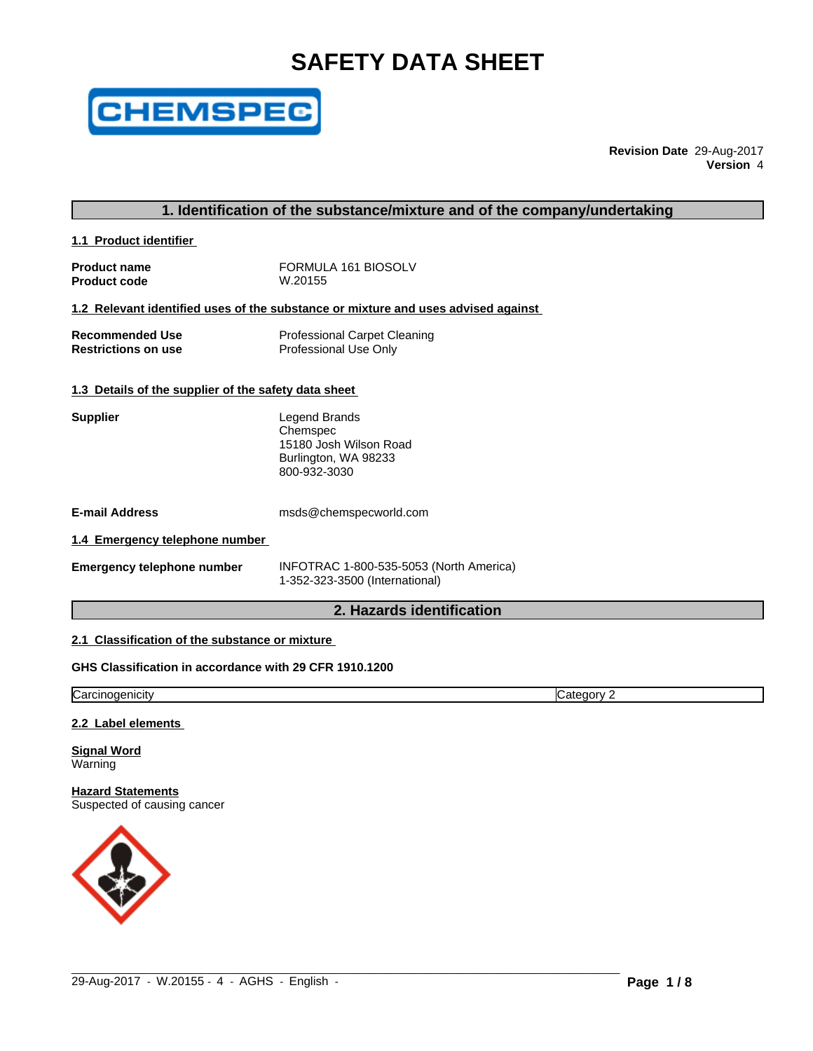# **SAFETY DATA SHEET**



**Revision Date** 29-Aug-2017 **Version** 4

# **1. Identification of the substance/mixture and of the company/undertaking**

**1.1 Product identifier** 

| <b>Product name</b> | FORMULA 161 BIOSOLV |
|---------------------|---------------------|
| <b>Product code</b> | W.20155             |

**1.2 Relevant identified uses of the substance or mixture and uses advised against**

| <b>Recommended Use</b>     | <b>Professional Carpet Cleaning</b> |
|----------------------------|-------------------------------------|
| <b>Restrictions on use</b> | Professional Use Only               |

#### **1.3 Details of the supplier of the safety data sheet**

| Legend Brands          |
|------------------------|
| Chemspec               |
| 15180 Josh Wilson Road |
| Burlington, WA 98233   |
| 800-932-3030           |
|                        |

**E-mail Address** msds@chemspecworld.com

#### **1.4 Emergency telephone number**

**INFOTRAC 1-800-535-5053 (North America)** 1-352-323-3500 (International)

 $\_$  ,  $\_$  ,  $\_$  ,  $\_$  ,  $\_$  ,  $\_$  ,  $\_$  ,  $\_$  ,  $\_$  ,  $\_$  ,  $\_$  ,  $\_$  ,  $\_$  ,  $\_$  ,  $\_$  ,  $\_$  ,  $\_$  ,  $\_$  ,  $\_$  ,  $\_$  ,  $\_$  ,  $\_$  ,  $\_$  ,  $\_$  ,  $\_$  ,  $\_$  ,  $\_$  ,  $\_$  ,  $\_$  ,  $\_$  ,  $\_$  ,  $\_$  ,  $\_$  ,  $\_$  ,  $\_$  ,  $\_$  ,  $\_$  ,

# **2. Hazards identification**

# **2.1 Classification of the substance or mixture**

# **GHS Classification in accordance with 29 CFR 1910.1200**

**Carcinogenicity** Category 2

#### **2.2 Label elements**

**Signal Word** Warning

# **Hazard Statements**

Suspected of causing cancer

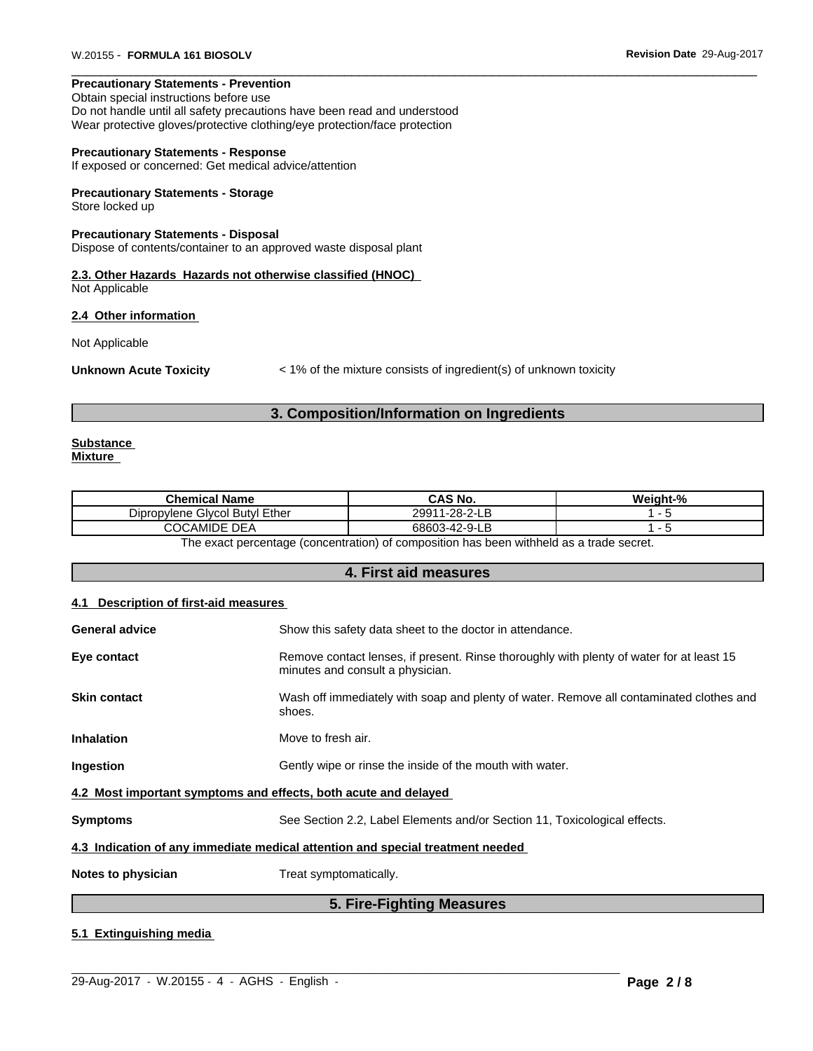### **Precautionary Statements - Prevention**

Obtain special instructions before use

Do not handle until all safety precautions have been read and understood Wear protective gloves/protective clothing/eye protection/face protection

#### **Precautionary Statements - Response**

If exposed or concerned: Get medical advice/attention

#### **Precautionary Statements - Storage**

Store locked up

#### **Precautionary Statements - Disposal**

Dispose of contents/container to an approved waste disposal plant

#### **2.3. Other Hazards Hazards not otherwise classified (HNOC)** Not Applicable

#### **2.4 Other information**

Not Applicable

**Unknown Acute Toxicity**  $\langle 1\%$  of the mixture consists of ingredient(s) of unknown toxicity

#### **3. Composition/Information on Ingredients**

#### **Substance Mixture**

| <b>Chemical Name</b>                       | CAS No.                                         | - 04<br>Mainht. |
|--------------------------------------------|-------------------------------------------------|-----------------|
| <b>Givcol Butvl Ether</b><br>Dipropylene ' | $\sim$ $\sim$ $\sim$<br>1-28-<br>2991<br><br>டப |                 |
| DEA<br>റററ<br>CAMIDE<br>JV.                | คลคกว<br>$-1$<br>$-1 - 4$                       |                 |
|                                            | .<br>.                                          |                 |

The exact percentage (concentration) of composition has been withheld as a trade secret.

# **4. First aid measures**

#### **4.1 Description of first-aid measures**

|                                                                 | -----<br>--                                                                                                                  |
|-----------------------------------------------------------------|------------------------------------------------------------------------------------------------------------------------------|
| Notes to physician                                              | Treat symptomatically.                                                                                                       |
|                                                                 | 4.3 Indication of any immediate medical attention and special treatment needed                                               |
| <b>Symptoms</b>                                                 | See Section 2.2, Label Elements and/or Section 11, Toxicological effects.                                                    |
| 4.2 Most important symptoms and effects, both acute and delayed |                                                                                                                              |
| Ingestion                                                       | Gently wipe or rinse the inside of the mouth with water.                                                                     |
| <b>Inhalation</b>                                               | Move to fresh air.                                                                                                           |
| <b>Skin contact</b>                                             | Wash off immediately with soap and plenty of water. Remove all contaminated clothes and<br>shoes.                            |
| Eye contact                                                     | Remove contact lenses, if present. Rinse thoroughly with plenty of water for at least 15<br>minutes and consult a physician. |
| <b>General advice</b>                                           | Show this safety data sheet to the doctor in attendance.                                                                     |
|                                                                 |                                                                                                                              |

### **5. Fire-Fighting Measures**

 $\_$  ,  $\_$  ,  $\_$  ,  $\_$  ,  $\_$  ,  $\_$  ,  $\_$  ,  $\_$  ,  $\_$  ,  $\_$  ,  $\_$  ,  $\_$  ,  $\_$  ,  $\_$  ,  $\_$  ,  $\_$  ,  $\_$  ,  $\_$  ,  $\_$  ,  $\_$  ,  $\_$  ,  $\_$  ,  $\_$  ,  $\_$  ,  $\_$  ,  $\_$  ,  $\_$  ,  $\_$  ,  $\_$  ,  $\_$  ,  $\_$  ,  $\_$  ,  $\_$  ,  $\_$  ,  $\_$  ,  $\_$  ,  $\_$  ,

#### **5.1 Extinguishing media**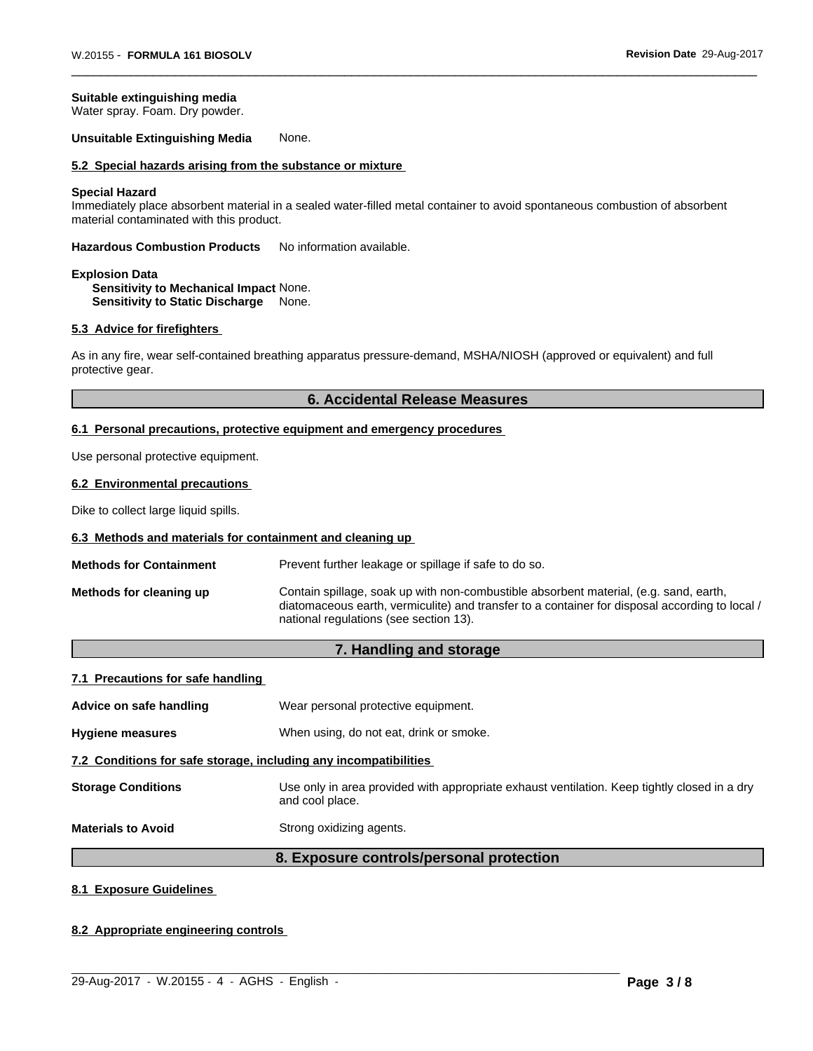#### **Suitable extinguishing media**

Water spray. Foam. Dry powder.

#### **Unsuitable Extinguishing Media** None.

# **5.2 Special hazards arising from the substance or mixture**

#### **Special Hazard**

Immediately place absorbent material in a sealed water-filled metal container to avoid spontaneous combustion of absorbent material contaminated with this product.

**Hazardous Combustion Products** No information available.

#### **Explosion Data Sensitivity to Mechanical Impact** None. **Sensitivity to Static Discharge** None.

#### **5.3 Advice for firefighters**

As in any fire, wear self-contained breathing apparatus pressure-demand, MSHA/NIOSH (approved or equivalent) and full protective gear.

# **6. Accidental Release Measures**

#### **6.1 Personal precautions, protective equipment and emergency procedures**

Use personal protective equipment.

#### **6.2 Environmental precautions**

Dike to collect large liquid spills.

#### **6.3 Methods and materials for containment and cleaning up**

| <b>Methods for Containment</b> | Prevent further leakage or spillage if safe to do so.                                                                                                                                                                             |
|--------------------------------|-----------------------------------------------------------------------------------------------------------------------------------------------------------------------------------------------------------------------------------|
| Methods for cleaning up        | Contain spillage, soak up with non-combustible absorbent material, (e.g. sand, earth,<br>diatomaceous earth, vermiculite) and transfer to a container for disposal according to local /<br>national regulations (see section 13). |

# **7. Handling and storage**

### **7.1 Precautions for safe handling**

**Advice on safe handling** Wear personal protective equipment.

#### **Hygiene measures** When using, do not eat, drink or smoke.

#### **7.2 Conditions for safe storage, including any incompatibilities**

**Storage Conditions** Use only in area provided with appropriate exhaust ventilation. Keep tightly closed in a dry and cool place.

**Materials to Avoid** Strong oxidizing agents.

### **8. Exposure controls/personal protection**

 $\_$  ,  $\_$  ,  $\_$  ,  $\_$  ,  $\_$  ,  $\_$  ,  $\_$  ,  $\_$  ,  $\_$  ,  $\_$  ,  $\_$  ,  $\_$  ,  $\_$  ,  $\_$  ,  $\_$  ,  $\_$  ,  $\_$  ,  $\_$  ,  $\_$  ,  $\_$  ,  $\_$  ,  $\_$  ,  $\_$  ,  $\_$  ,  $\_$  ,  $\_$  ,  $\_$  ,  $\_$  ,  $\_$  ,  $\_$  ,  $\_$  ,  $\_$  ,  $\_$  ,  $\_$  ,  $\_$  ,  $\_$  ,  $\_$  ,

#### **8.1 Exposure Guidelines**

#### **8.2 Appropriate engineering controls**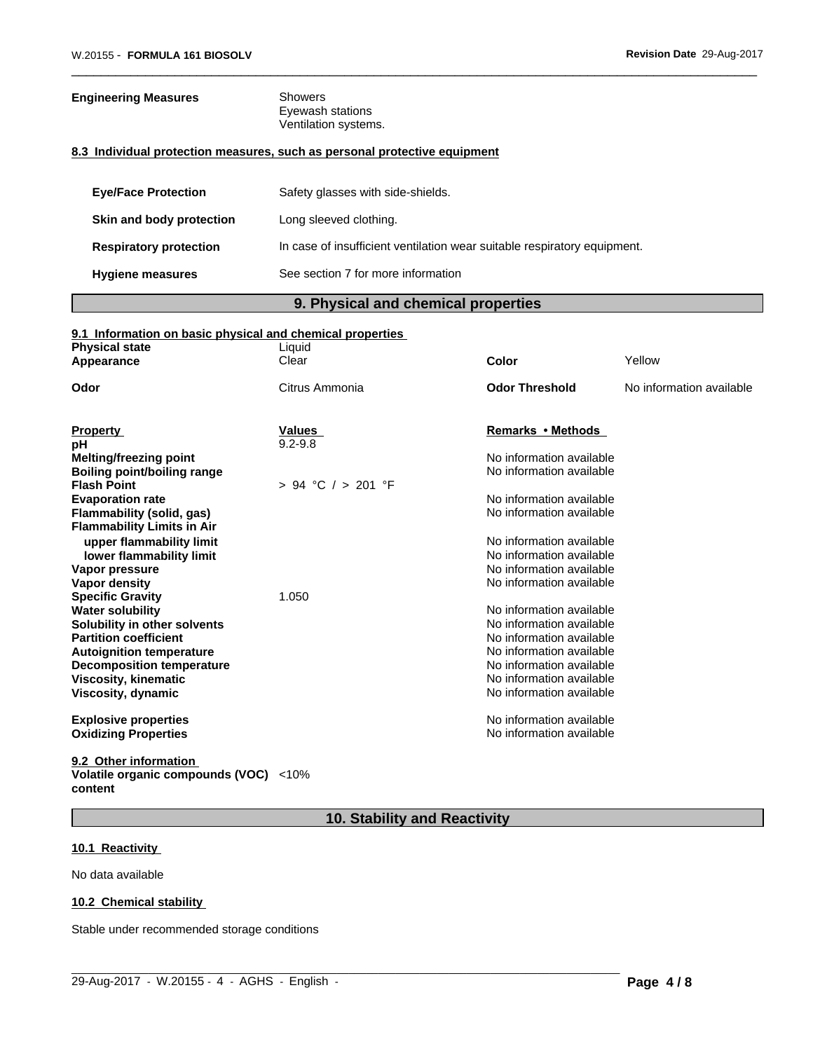| <b>Engineering Measures</b>   | <b>Showers</b><br>Eyewash stations<br>Ventilation systems.                |
|-------------------------------|---------------------------------------------------------------------------|
|                               | 8.3 Individual protection measures, such as personal protective equipment |
| <b>Eve/Face Protection</b>    | Safety glasses with side-shields.                                         |
| Skin and body protection      | Long sleeved clothing.                                                    |
| <b>Respiratory protection</b> | In case of insufficient ventilation wear suitable respiratory equipment.  |
| <b>Hygiene measures</b>       | See section 7 for more information                                        |

# **9. Physical and chemical properties**

#### **9.1 Information on basic physical and chemical properties**

| <b>Physical state</b>              | Liquid             |                          |                          |
|------------------------------------|--------------------|--------------------------|--------------------------|
| Appearance                         | Clear              | Color                    | Yellow                   |
| Odor                               | Citrus Ammonia     | <b>Odor Threshold</b>    | No information available |
|                                    |                    |                          |                          |
| <b>Property</b>                    | Values             | Remarks • Methods        |                          |
| рH                                 | $9.2 - 9.8$        |                          |                          |
| Melting/freezing point             |                    | No information available |                          |
| <b>Boiling point/boiling range</b> |                    | No information available |                          |
| <b>Flash Point</b>                 | > 94 °C / > 201 °F |                          |                          |
| <b>Evaporation rate</b>            |                    | No information available |                          |
| Flammability (solid, gas)          |                    | No information available |                          |
| <b>Flammability Limits in Air</b>  |                    |                          |                          |
| upper flammability limit           |                    | No information available |                          |
| lower flammability limit           |                    | No information available |                          |
| Vapor pressure                     |                    | No information available |                          |
| Vapor density                      |                    | No information available |                          |
| <b>Specific Gravity</b>            | 1.050              |                          |                          |
| <b>Water solubility</b>            |                    | No information available |                          |
| Solubility in other solvents       |                    | No information available |                          |
| <b>Partition coefficient</b>       |                    | No information available |                          |
| <b>Autoignition temperature</b>    |                    | No information available |                          |
| <b>Decomposition temperature</b>   |                    | No information available |                          |
| <b>Viscosity, kinematic</b>        |                    | No information available |                          |
| Viscosity, dynamic                 |                    | No information available |                          |
| <b>Explosive properties</b>        |                    | No information available |                          |
| <b>Oxidizing Properties</b>        |                    | No information available |                          |
|                                    |                    |                          |                          |

**9.2 Other information Volatile organic compounds (VOC)** <10% **content**

# **10. Stability and Reactivity**

 $\_$  ,  $\_$  ,  $\_$  ,  $\_$  ,  $\_$  ,  $\_$  ,  $\_$  ,  $\_$  ,  $\_$  ,  $\_$  ,  $\_$  ,  $\_$  ,  $\_$  ,  $\_$  ,  $\_$  ,  $\_$  ,  $\_$  ,  $\_$  ,  $\_$  ,  $\_$  ,  $\_$  ,  $\_$  ,  $\_$  ,  $\_$  ,  $\_$  ,  $\_$  ,  $\_$  ,  $\_$  ,  $\_$  ,  $\_$  ,  $\_$  ,  $\_$  ,  $\_$  ,  $\_$  ,  $\_$  ,  $\_$  ,  $\_$  ,

# **10.1 Reactivity**

No data available

#### **10.2 Chemical stability**

Stable under recommended storage conditions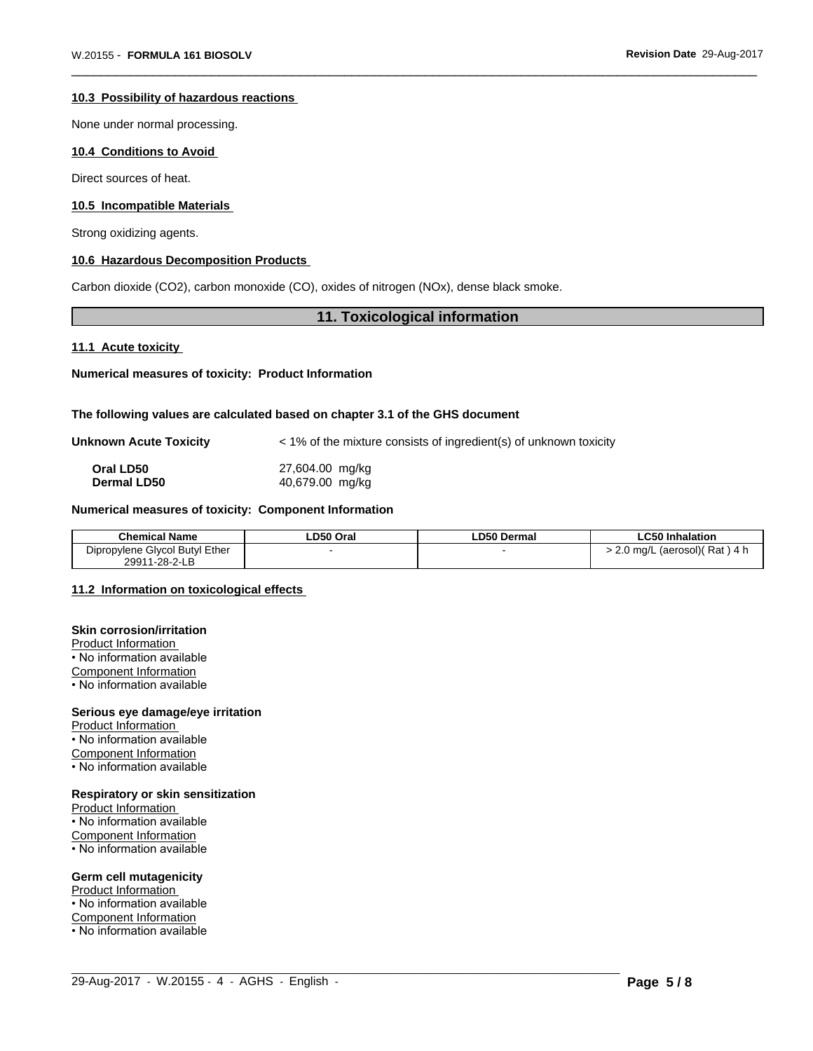#### **10.3 Possibility of hazardous reactions**

None under normal processing.

# **10.4 Conditions to Avoid**

Direct sources of heat.

#### **10.5 Incompatible Materials**

Strong oxidizing agents.

#### **10.6 Hazardous Decomposition Products**

Carbon dioxide (CO2), carbon monoxide (CO), oxides of nitrogen (NOx), dense black smoke.

# **11. Toxicological information**

#### **11.1 Acute toxicity**

**Numerical measures of toxicity: Product Information**

#### **The following values are calculated based on chapter 3.1 of the GHS document**

**Unknown Acute Toxicity**  $\lt$  1% of the mixture consists of ingredient(s) of unknown toxicity

| Oral LD50          | 27,604.00 mg/kg |
|--------------------|-----------------|
| <b>Dermal LD50</b> | 40,679.00 mg/kg |

# **Numerical measures of toxicity: Component Information**

| <b>Chemical Name</b>                                              | D50 Oral | LD50P<br>⊦Dermal | l Inhalation<br>-u50 IF                    |
|-------------------------------------------------------------------|----------|------------------|--------------------------------------------|
| <b>Butvl Ether</b><br>- -<br>Givcol <sup>-</sup><br>Dipropylene f |          |                  | Rat<br>) mɑ/L (aerosol)(<br>14 h<br>$\sim$ |
| $1 - 28 - 2 - L$<br>29911                                         |          |                  |                                            |

 $\_$  ,  $\_$  ,  $\_$  ,  $\_$  ,  $\_$  ,  $\_$  ,  $\_$  ,  $\_$  ,  $\_$  ,  $\_$  ,  $\_$  ,  $\_$  ,  $\_$  ,  $\_$  ,  $\_$  ,  $\_$  ,  $\_$  ,  $\_$  ,  $\_$  ,  $\_$  ,  $\_$  ,  $\_$  ,  $\_$  ,  $\_$  ,  $\_$  ,  $\_$  ,  $\_$  ,  $\_$  ,  $\_$  ,  $\_$  ,  $\_$  ,  $\_$  ,  $\_$  ,  $\_$  ,  $\_$  ,  $\_$  ,  $\_$  ,

# **11.2 Information on toxicologicaleffects**

#### **Skin corrosion/irritation**

Product Information

• No information available

Component Information

• No information available

### **Serious eye damage/eye irritation**

Product Information • No information available Component Information • No information available

#### **Respiratory or skin sensitization**

Product Information • No information available Component Information • No information available

# **Germ cell mutagenicity**

Product Information

• No information available

Component Information • No information available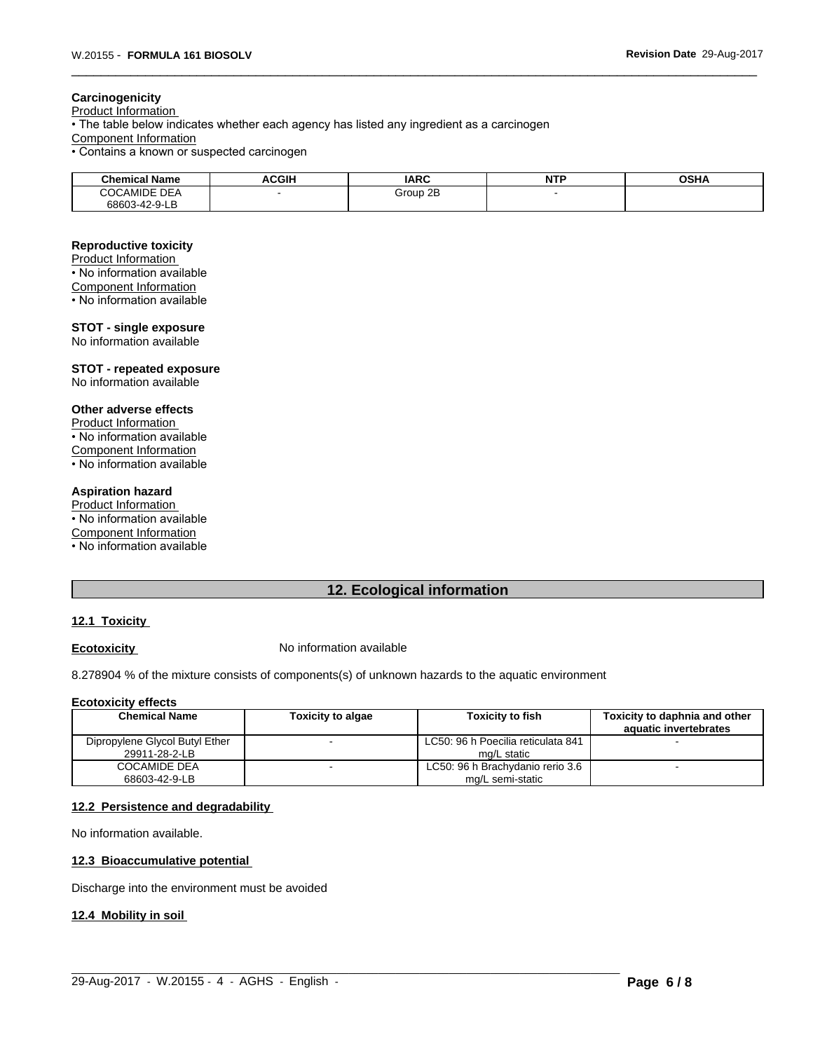### **Carcinogenicity**

Product Information • The table below indicates whether each agency has listed any ingredient as a carcinogen Component Information • Contains a known or suspected carcinogen

| - - -<br><b>Chemical Name</b>                        | <b>ACGIH</b> | <b>IARC</b> | $NT^r$<br>. | OCHA<br>JJNA |
|------------------------------------------------------|--------------|-------------|-------------|--------------|
| $\sim$ $\sim$<br>CAMIDE<br>$\sim$<br>``<br><b>DE</b> |              | Group 2B    |             |              |
| 68603-42-9-1<br>╌∟∟                                  |              |             |             |              |

#### **Reproductive toxicity**

Product Information • No information available Component Information

• No information available

#### **STOT - single exposure** No information available

**STOT - repeated exposure** No information available

### **Other adverse effects**

Product Information • No information available Component Information • No information available

# **Aspiration hazard**

Product Information • No information available Component Information • No information available

# **12. Ecological information**

# **12.1 Toxicity**

**Ecotoxicity No information available** 

8.278904 % of the mixture consists of components(s) of unknown hazards to the aquatic environment

#### **Ecotoxicity effects**

| <b>Chemical Name</b>                            | Toxicity to algae | <b>Toxicity to fish</b>                              | Toxicity to daphnia and other |
|-------------------------------------------------|-------------------|------------------------------------------------------|-------------------------------|
|                                                 |                   |                                                      | aquatic invertebrates         |
| Dipropylene Glycol Butyl Ether<br>29911-28-2-LB |                   | LC50: 96 h Poecilia reticulata 841<br>mg/L static    |                               |
| <b>COCAMIDE DEA</b><br>68603-42-9-LB            |                   | LC50: 96 h Brachydanio rerio 3.6<br>mg/L semi-static |                               |

 $\_$  ,  $\_$  ,  $\_$  ,  $\_$  ,  $\_$  ,  $\_$  ,  $\_$  ,  $\_$  ,  $\_$  ,  $\_$  ,  $\_$  ,  $\_$  ,  $\_$  ,  $\_$  ,  $\_$  ,  $\_$  ,  $\_$  ,  $\_$  ,  $\_$  ,  $\_$  ,  $\_$  ,  $\_$  ,  $\_$  ,  $\_$  ,  $\_$  ,  $\_$  ,  $\_$  ,  $\_$  ,  $\_$  ,  $\_$  ,  $\_$  ,  $\_$  ,  $\_$  ,  $\_$  ,  $\_$  ,  $\_$  ,  $\_$  ,

### **12.2 Persistence and degradability**

No information available.

### **12.3 Bioaccumulative potential**

Discharge into the environment must be avoided

#### **12.4 Mobility in soil**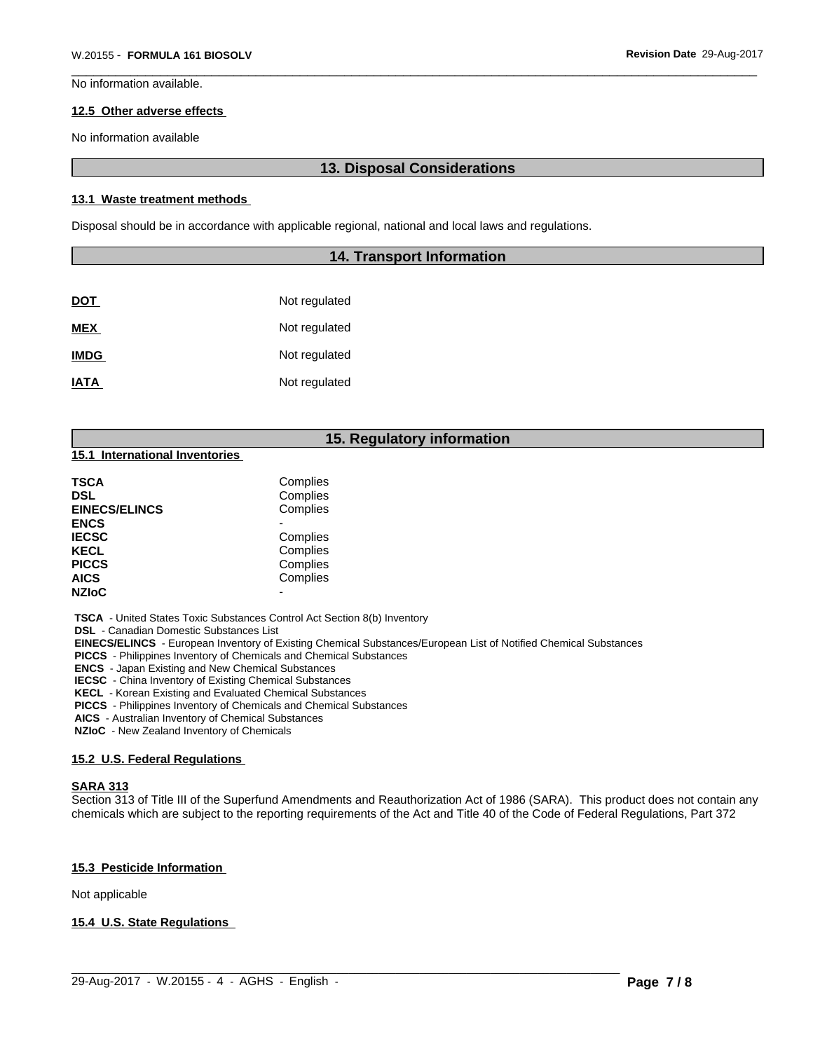No information available.

#### **12.5 Other adverse effects**

No information available

# **13. Disposal Considerations**

#### **13.1 Waste treatment methods**

Disposal should be in accordance with applicable regional, national and local laws and regulations.

# **14. Transport Information**

| <b>DOT</b>  | Not regulated |
|-------------|---------------|
| <b>MEX</b>  | Not regulated |
| <b>IMDG</b> | Not regulated |
| <b>IATA</b> | Not regulated |

# **15. Regulatory information**

| 15.1 International Inventories |  |
|--------------------------------|--|
|--------------------------------|--|

| TSCA                 | Complies |  |
|----------------------|----------|--|
| DSL                  | Complies |  |
| <b>EINECS/ELINCS</b> | Complies |  |
| <b>ENCS</b>          |          |  |
| <b>IECSC</b>         | Complies |  |
| <b>KECL</b>          | Complies |  |
| <b>PICCS</b>         | Complies |  |
| AICS                 | Complies |  |
| <b>NZIoC</b>         |          |  |

 **TSCA** - United States Toxic Substances Control Act Section 8(b) Inventory

 **DSL** - Canadian Domestic Substances List

 **EINECS/ELINCS** - European Inventory of Existing Chemical Substances/European List of Notified Chemical Substances

 **PICCS** - Philippines Inventory of Chemicals and Chemical Substances

 **ENCS** - Japan Existing and New Chemical Substances

 **IECSC** - China Inventory of Existing Chemical Substances

 **KECL** - Korean Existing and Evaluated Chemical Substances

 **PICCS** - Philippines Inventory of Chemicals and Chemical Substances

 **AICS** - Australian Inventory of Chemical Substances

 **NZIoC** - New Zealand Inventory of Chemicals

#### **15.2 U.S. Federal Regulations**

#### **SARA 313**

Section 313 of Title III of the Superfund Amendments and Reauthorization Act of 1986 (SARA). This product does not contain any chemicals which are subject to the reporting requirements of the Act and Title 40 of the Code of Federal Regulations, Part 372

 $\_$  ,  $\_$  ,  $\_$  ,  $\_$  ,  $\_$  ,  $\_$  ,  $\_$  ,  $\_$  ,  $\_$  ,  $\_$  ,  $\_$  ,  $\_$  ,  $\_$  ,  $\_$  ,  $\_$  ,  $\_$  ,  $\_$  ,  $\_$  ,  $\_$  ,  $\_$  ,  $\_$  ,  $\_$  ,  $\_$  ,  $\_$  ,  $\_$  ,  $\_$  ,  $\_$  ,  $\_$  ,  $\_$  ,  $\_$  ,  $\_$  ,  $\_$  ,  $\_$  ,  $\_$  ,  $\_$  ,  $\_$  ,  $\_$  ,

#### **15.3 Pesticide Information**

Not applicable

### **15.4 U.S. State Regulations**